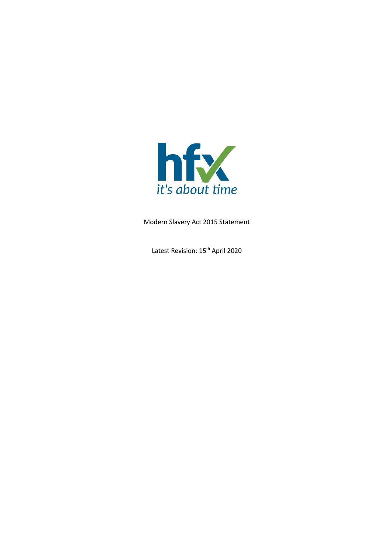

Modern Slavery Act 2015 Statement

Latest Revision: 15<sup>th</sup> April 2020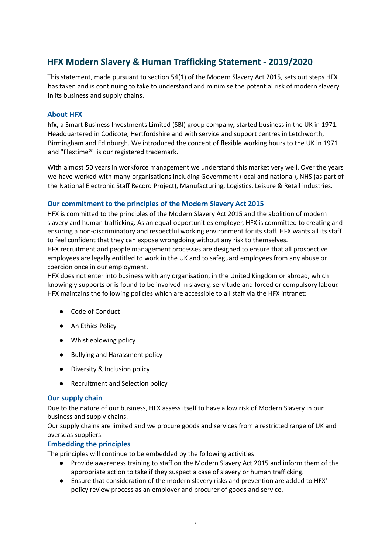# **HFX Modern Slavery & Human Trafficking Statement - 2019/2020**

This statement, made pursuant to section 54(1) of the Modern Slavery Act 2015, sets out steps HFX has taken and is continuing to take to understand and minimise the potential risk of modern slavery in its business and supply chains.

## **About HFX**

**hfx,** a Smart Business Investments Limited (SBI) group company**,** started business in the UK in 1971. Headquartered in Codicote, Hertfordshire and with service and support centres in Letchworth, Birmingham and Edinburgh. We introduced the concept of flexible working hours to the UK in 1971 and ["Flextime®"](http://en.wikipedia.org/wiki/Flextime) is our registered trademark.

With almost 50 years in workforce management we understand this market very well. Over the years we have worked with many organisations including Government (local and national), NHS (as part of the National Electronic Staff Record Project), Manufacturing, Logistics, Leisure & Retail industries.

## **Our commitment to the principles of the Modern Slavery Act 2015**

HFX is committed to the principles of the Modern Slavery Act 2015 and the abolition of modern slavery and human trafficking. As an equal-opportunities employer, HFX is committed to creating and ensuring a non-discriminatory and respectful working environment for its staff. HFX wants all its staff to feel confident that they can expose wrongdoing without any risk to themselves. HFX recruitment and people management processes are designed to ensure that all prospective employees are legally entitled to work in the UK and to safeguard employees from any abuse or coercion once in our employment.

HFX does not enter into business with any organisation, in the United Kingdom or abroad, which knowingly supports or is found to be involved in slavery, servitude and forced or compulsory labour. HFX maintains the following policies which are accessible to all staff via the HFX intranet:

- Code of Conduct
- An Ethics Policy
- Whistleblowing policy
- Bullying and Harassment policy
- Diversity & Inclusion policy
- Recruitment and Selection policy

### **Our supply chain**

Due to the nature of our business, HFX assess itself to have a low risk of Modern Slavery in our business and supply chains.

Our supply chains are limited and we procure goods and services from a restricted range of UK and overseas suppliers.

### **Embedding the principles**

The principles will continue to be embedded by the following activities:

- Provide awareness training to staff on the Modern Slavery Act 2015 and inform them of the appropriate action to take if they suspect a case of slavery or human trafficking.
- Ensure that consideration of the modern slavery risks and prevention are added to HFX' policy review process as an employer and procurer of goods and service.